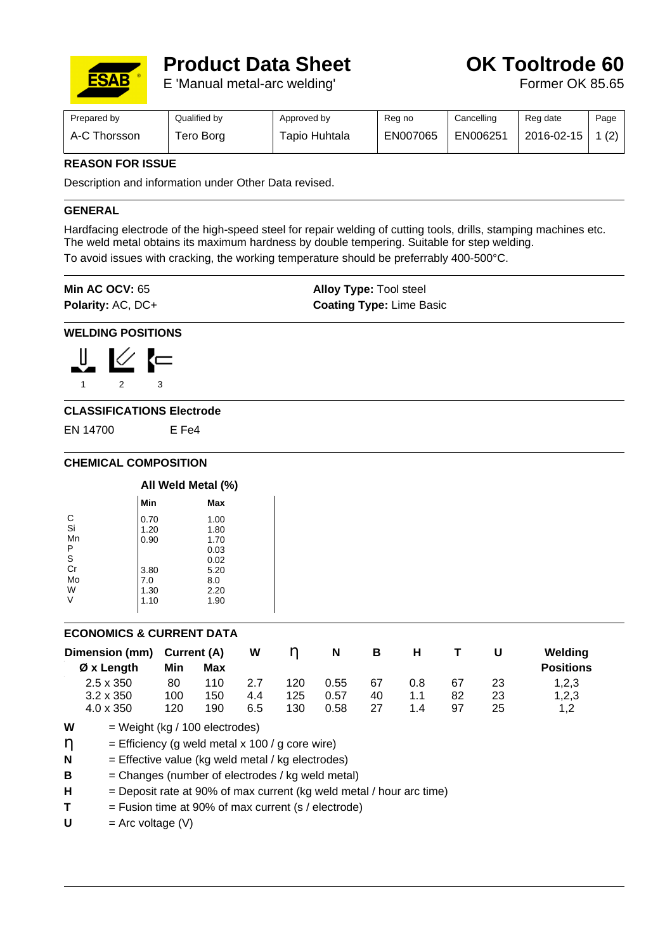

# **Product Data Sheet Canadia Controde 60**

E 'Manual metal-arc welding' Former OK 85.65

| Prepared by           | Qualified by | Approved by   | Reg no   | Cancelling | Reg date   | Page |
|-----------------------|--------------|---------------|----------|------------|------------|------|
| $A-C$ $T$<br>Thorsson | ero Borg     | Гаріо Huhtala | EN007065 | EN006251   | 2016-02-15 | (2)  |

## **REASON FOR ISSUE**

Description and information under Other Data revised.

### **GENERAL**

Hardfacing electrode of the high-speed steel for repair welding of cutting tools, drills, stamping machines etc. The weld metal obtains its maximum hardness by double tempering. Suitable for step welding. To avoid issues with cracking, the working temperature should be preferrably 400-500°C.

| Min AC OCV: $65$         | <b>Alloy Type: Tool steel</b>   |
|--------------------------|---------------------------------|
| <b>Polarity: AC, DC+</b> | <b>Coating Type: Lime Basic</b> |

#### **WELDING POSITIONS**



### **CLASSIFICATIONS Electrode**

EN 14700 E Fe4

### **CHEMICAL COMPOSITION**

| All Weld Metal (%) |      |  |  |
|--------------------|------|--|--|
| Min                | Max  |  |  |
| 0.70               | 1.00 |  |  |
| 1.20               | 1.80 |  |  |
| 0.90               | 1.70 |  |  |
|                    | 0.03 |  |  |
|                    | 0.02 |  |  |
| 3.80               | 5.20 |  |  |
| 7.0                | 8.0  |  |  |
| 1.30               | 2.20 |  |  |
| 1.10               | 1.90 |  |  |
|                    |      |  |  |

### **ECONOMICS & CURRENT DATA**

| Dimension (mm) Current (A) |     |     | W   |     | N    | в  | н   |    |    | Welding          |
|----------------------------|-----|-----|-----|-----|------|----|-----|----|----|------------------|
| $\emptyset$ x Length       | Min | Max |     |     |      |    |     |    |    | <b>Positions</b> |
| $2.5 \times 350$           | 80  | 110 | 27  | 120 | 0.55 | 67 | 0.8 | 67 | 23 | 1,2,3            |
| $3.2 \times 350$           | 100 | 150 | 4.4 | 125 | 0.57 | 40 | 1.1 | 82 | 23 | 1,2,3            |
| $4.0 \times 350$           | 120 | 190 | 6.5 | 130 | 0.58 | 27 | 1.4 | 97 | 25 | 1.2              |

- $W = Weight (kg / 100 electrodes)$
- $\eta$  = Efficiency (g weld metal x 100 / g core wire)
- **N** = Effective value (kg weld metal / kg electrodes)
- **B** = Changes (number of electrodes / kg weld metal)
- $H =$  Deposit rate at 90% of max current (kg weld metal / hour arc time)
- $T =$  Fusion time at 90% of max current (s / electrode)
- $U = Arc$  voltage  $(V)$